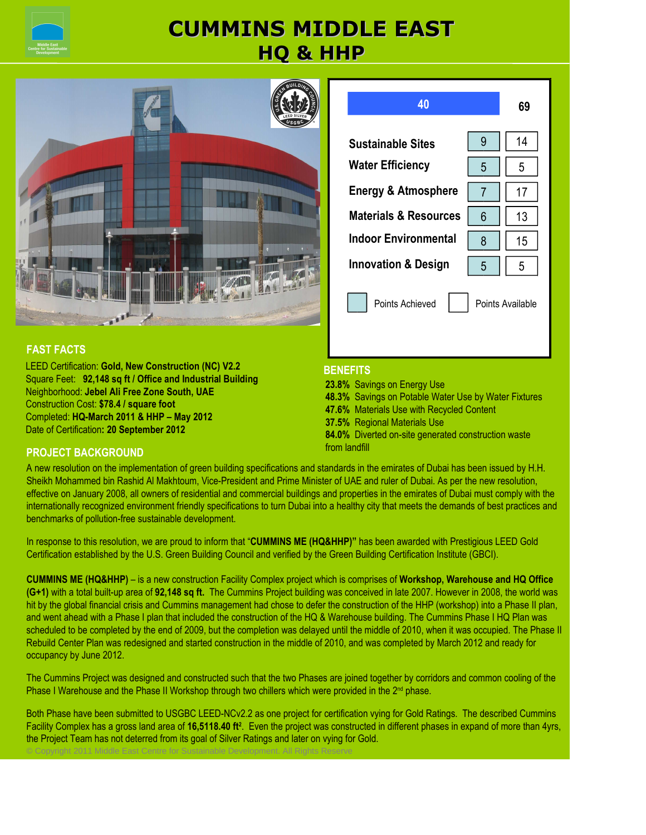

# **CUMMINS MIDDLE EAST HQ & HHP**





LEED Certification: **Gold, New Construction (NC) V2.2** Square Feet: **92,148 sq ft / Office and Industrial Building** Neighborhood: **Jebel Ali Free Zone South, UAE** Construction Cost: **\$78.4 / square foot** Completed: **HQ-March 2011 & HHP – May 2012** Date of Certification**: 20 September 2012**

### **40 69 Sustainable Sites Water Efficiency Energy & Atmosphere Materials & Resources Indoor Environmental Innovation & Design** 9  $5$  |  $5$ Points Achieved **Points Available** 14 7 11 17  $6 \mid 13$ 8 16 15 5 5

### **BENEFITS**

**23.8%** Savings on Energy Use **48.3%** Savings on Potable Water Use by Water Fixtures **47.6%** Materials Use with Recycled Content **37.5%** Regional Materials Use **84.0%** Diverted on-site generated construction waste

### from landfill **PROJECT BACKGROUND**

A new resolution on the implementation of green building specifications and standards in the emirates of Dubai has been issued by H.H. Sheikh Mohammed bin Rashid Al Makhtoum, Vice-President and Prime Minister of UAE and ruler of Dubai. As per the new resolution, effective on January 2008, all owners of residential and commercial buildings and properties in the emirates of Dubai must comply with the internationally recognized environment friendly specifications to turn Dubai into a healthy city that meets the demands of best practices and benchmarks of pollution-free sustainable development.

In response to this resolution, we are proud to inform that "**CUMMINS ME (HQ&HHP)"** has been awarded with Prestigious LEED Gold Certification established by the U.S. Green Building Council and verified by the Green Building Certification Institute (GBCI).

**CUMMINS ME (HQ&HHP)** – is a new construction Facility Complex project which is comprises of **Workshop, Warehouse and HQ Office (G+1)** with a total built-up area of **92,148 sq ft.** The Cummins Project building was conceived in late 2007. However in 2008, the world was hit by the global financial crisis and Cummins management had chose to defer the construction of the HHP (workshop) into a Phase II plan, and went ahead with a Phase I plan that included the construction of the HQ & Warehouse building. The Cummins Phase I HQ Plan was scheduled to be completed by the end of 2009, but the completion was delayed until the middle of 2010, when it was occupied. The Phase II Rebuild Center Plan was redesigned and started construction in the middle of 2010, and was completed by March 2012 and ready for occupancy by June 2012.

The Cummins Project was designed and constructed such that the two Phases are joined together by corridors and common cooling of the Phase I Warehouse and the Phase II Workshop through two chillers which were provided in the  $2<sup>nd</sup>$  phase.

 Both Phase have been submitted to USGBC LEED-NCv2.2 as one project for certification vying for Gold Ratings. The described Cummins © Copyright 2011 Middle East Centre for Sustainable Development. All Rights Reserve Facility Complex has a gross land area of **16,5118.40 ft**<sup>2</sup>. Even the project was constructed in different phases in expand of more than 4yrs, the Project Team has not deterred from its goal of Silver Ratings and later on vying for Gold.